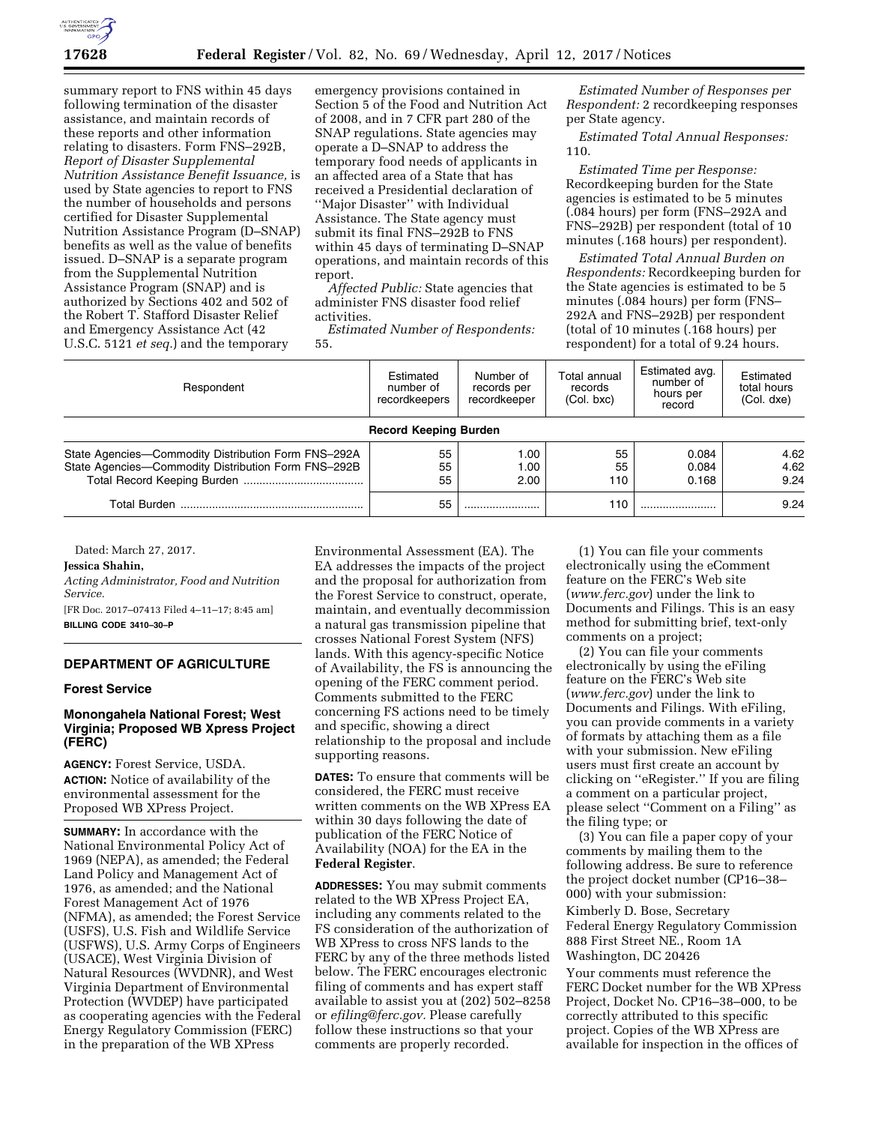

summary report to FNS within 45 days following termination of the disaster assistance, and maintain records of these reports and other information relating to disasters. Form FNS–292B, *Report of Disaster Supplemental Nutrition Assistance Benefit Issuance,* is used by State agencies to report to FNS the number of households and persons certified for Disaster Supplemental Nutrition Assistance Program (D–SNAP) benefits as well as the value of benefits issued. D–SNAP is a separate program from the Supplemental Nutrition Assistance Program (SNAP) and is authorized by Sections 402 and 502 of the Robert T. Stafford Disaster Relief and Emergency Assistance Act (42 U.S.C. 5121 *et seq.*) and the temporary

emergency provisions contained in Section 5 of the Food and Nutrition Act of 2008, and in 7 CFR part 280 of the SNAP regulations. State agencies may operate a D–SNAP to address the temporary food needs of applicants in an affected area of a State that has received a Presidential declaration of ''Major Disaster'' with Individual Assistance. The State agency must submit its final FNS–292B to FNS within 45 days of terminating D–SNAP operations, and maintain records of this report.

*Affected Public:* State agencies that administer FNS disaster food relief activities.

*Estimated Number of Respondents:*  55.

*Estimated Number of Responses per Respondent:* 2 recordkeeping responses per State agency.

*Estimated Total Annual Responses:*  110.

*Estimated Time per Response:*  Recordkeeping burden for the State agencies is estimated to be 5 minutes (.084 hours) per form (FNS–292A and FNS–292B) per respondent (total of 10 minutes (.168 hours) per respondent).

*Estimated Total Annual Burden on Respondents:* Recordkeeping burden for the State agencies is estimated to be 5 minutes (.084 hours) per form (FNS– 292A and FNS–292B) per respondent (total of 10 minutes (.168 hours) per respondent) for a total of 9.24 hours.

| Respondent                                                                                                 | Estimated<br>number of<br>recordkeepers | Number of<br>records per<br>recordkeeper | Total annual<br>records<br>(Col. bxc) | Estimated avg.<br>number of<br>hours per<br>record | Estimated<br>total hours<br>(Col. dxe) |
|------------------------------------------------------------------------------------------------------------|-----------------------------------------|------------------------------------------|---------------------------------------|----------------------------------------------------|----------------------------------------|
| <b>Record Keeping Burden</b>                                                                               |                                         |                                          |                                       |                                                    |                                        |
| State Agencies-Commodity Distribution Form FNS-292A<br>State Agencies-Commodity Distribution Form FNS-292B | 55<br>55<br>55                          | 1.00<br>1.00<br>2.00                     | 55<br>55<br>110                       | 0.084<br>0.084<br>0.168                            | 4.62<br>4.62<br>9.24                   |
|                                                                                                            | 55                                      |                                          | 110                                   |                                                    | 9.24                                   |

Dated: March 27, 2017.

**Jessica Shahin,** 

*Acting Administrator, Food and Nutrition Service.* 

[FR Doc. 2017–07413 Filed 4–11–17; 8:45 am] **BILLING CODE 3410–30–P** 

## **DEPARTMENT OF AGRICULTURE**

#### **Forest Service**

# **Monongahela National Forest; West Virginia; Proposed WB Xpress Project (FERC)**

**AGENCY:** Forest Service, USDA. **ACTION:** Notice of availability of the environmental assessment for the Proposed WB XPress Project.

**SUMMARY:** In accordance with the National Environmental Policy Act of 1969 (NEPA), as amended; the Federal Land Policy and Management Act of 1976, as amended; and the National Forest Management Act of 1976 (NFMA), as amended; the Forest Service (USFS), U.S. Fish and Wildlife Service (USFWS), U.S. Army Corps of Engineers (USACE), West Virginia Division of Natural Resources (WVDNR), and West Virginia Department of Environmental Protection (WVDEP) have participated as cooperating agencies with the Federal Energy Regulatory Commission (FERC) in the preparation of the WB XPress

Environmental Assessment (EA). The EA addresses the impacts of the project and the proposal for authorization from the Forest Service to construct, operate, maintain, and eventually decommission a natural gas transmission pipeline that crosses National Forest System (NFS) lands. With this agency-specific Notice of Availability, the FS is announcing the opening of the FERC comment period. Comments submitted to the FERC concerning FS actions need to be timely and specific, showing a direct relationship to the proposal and include supporting reasons.

**DATES:** To ensure that comments will be considered, the FERC must receive written comments on the WB XPress EA within 30 days following the date of publication of the FERC Notice of Availability (NOA) for the EA in the **Federal Register**.

**ADDRESSES:** You may submit comments related to the WB XPress Project EA, including any comments related to the FS consideration of the authorization of WB XPress to cross NFS lands to the FERC by any of the three methods listed below. The FERC encourages electronic filing of comments and has expert staff available to assist you at (202) 502–8258 or *[efiling@ferc.gov.](mailto:efiling@ferc.gov)* Please carefully follow these instructions so that your comments are properly recorded.

(1) You can file your comments electronically using the eComment feature on the FERC's Web site (*[www.ferc.gov](http://www.ferc.gov)*) under the link to Documents and Filings. This is an easy method for submitting brief, text-only comments on a project;

(2) You can file your comments electronically by using the eFiling feature on the FERC's Web site (*[www.ferc.gov](http://www.ferc.gov)*) under the link to Documents and Filings. With eFiling, you can provide comments in a variety of formats by attaching them as a file with your submission. New eFiling users must first create an account by clicking on ''eRegister.'' If you are filing a comment on a particular project, please select ''Comment on a Filing'' as the filing type; or

(3) You can file a paper copy of your comments by mailing them to the following address. Be sure to reference the project docket number (CP16–38– 000) with your submission:

Kimberly D. Bose, Secretary Federal Energy Regulatory Commission 888 First Street NE., Room 1A Washington, DC 20426

Your comments must reference the FERC Docket number for the WB XPress Project, Docket No. CP16–38–000, to be correctly attributed to this specific project. Copies of the WB XPress are available for inspection in the offices of